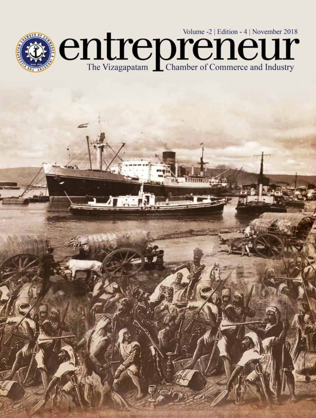

 $\Gamma_{\rm m}$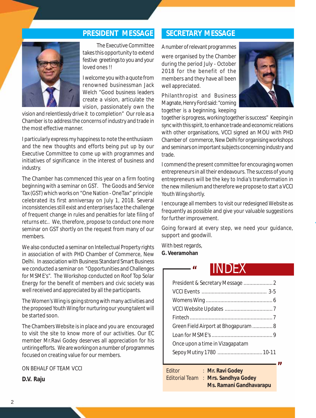

The Executive Committee takes this opportunity to extend festive greetings to you and your loved ones !!

I welcome you with a quote from renowned businessman Jack Welch "Good business leaders create a vision, articulate the vision, passionately own the

vision and relentlessly drive it to completion" Our role as a Chamber is to address the concerns of industry and trade in the most effective manner.

I particularly express my happiness to note the enthusiasm and the new thoughts and efforts being put up by our Executive Committee to come up with programmes and initiatives of significance in the interest of business and industry.

The Chamber has commenced this year on a firm footing beginning with a seminar on GST. The Goods and Service Tax (GST) which works on "One Nation - OneTax" principle celebrated its first anniversay on July 1, 2018. Several inconsistencies still exist and enterprises face the challenge of frequent change in rules and penalties for late filing of returns etc.. We, therefore, propose to conduct one more seminar on GST shortly on the request from many of our members.

We also conducted a seminar on Intellectual Property rights in association of with PHD Chamber of Commerce, New Delhi. In association with Business Standard Smart Business we conducted a seminar on "Opportunities and Challenges for MSME's". The Workshop conducted on Roof Top Solar Energy for the benefit of members and civic society was well received and appreciated by all the participants.

The Women's Wing is going strong with many activities and the proposed Youth Wing for nurturing our young talent will be started soon.

The Chambers Website is in place and you are encouraged to visit the site to know more of our activities. Our EC member Mr.Ravi Godey deserves all appreciation for his untiring efforts. We are working on a number of programmes focused on creating value for our members.

ON BEHALF OF TEAM VCCI

**D.V. Raju**

#### **PRESIDENT MESSAGE SECRETARY MESSAGE**

A number of relevant programmes were organised by the Chamber during the period July - October 2018 for the benefit of the members and they have all been well appreciated.

Philanthropist and Business Magnate, Henry Ford said: "coming together is a beginning, keeping



together is progress, working together is success" Keeping in sync with this spirit, to enhance trade and economic relations with other organisations, VCCI signed an MOU with PHD Chamber of commerce, New Delhi for organising workshops and seminars on important subjects concerning industry and trade.

I commend the present committee for encouraging women entrepreneurs in all their endeavours. The success of young entrepreneurs will be the key to India's transformation in the new millenium and therefore we propose to start a VCCI Youth Wing shortly.

I encourage all members to visit our redesigned Website as frequently as possible and give your valuable suggestions for further improvement.

Going forward at every step, we need your guidance, support and goodwill.

With best regards, **G. Veeramohan**

#### *"* INDEX

| President & Secretary Message  2     |
|--------------------------------------|
|                                      |
|                                      |
|                                      |
|                                      |
| Green Field Airport at Bhogapuram  8 |
|                                      |
| Once upon a time in Vizagapatam      |
| Sepoy Mutiny 1780  10-11             |

*"*

Editor : **Mr. Ravi Godey** Editorial Team : **Mrs. Sandhya Godey Ms. Ramani Gandhavarapu**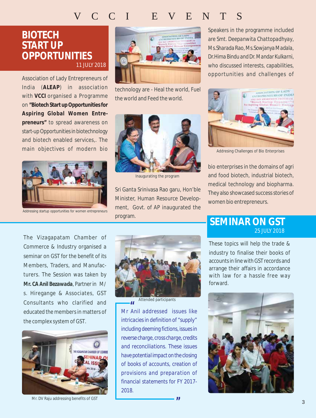### VCCI EVENTS

#### **BIOTECH START UP OPPORTUNITIES** 11 JULY 2018

Association of Lady Entrepreneurs of India (**ALEAP**) in association with **VCCI** organised a Programme on **"Biotech Start up Opportunities for Aspiring Global Women Entrepreneurs"** to spread awareness on start-up Opportunities in biotechnology and biotech enabled services,. The main objectives of modern bio



Addressing startup opportunities for women entrepreneurs



technology are - Heal the world, Fuel the world and Feed the world.

Inaugurating the program

Sri Ganta Srinivasa Rao garu, Hon'ble Minister, Human Resource Development, Govt. of AP inaugurated the program.

Speakers in the programme included are *Smt. Deepanwita Chattopadhyay*, *Ms.Sharada Rao*, *Ms.Sowjanya Madala, Dr.Hima Bindu and Dr. Mandar Kulkarni*, who discussed interests, capabilities, opportunities and challenges of



Addresing Challenges of Bio Enterprises

bio enterprises in the domains of agri and food biotech, industrial biotech, medical technology and biopharma. They also showcased success stories of women bio entrepreneurs.

The Vizagapatam Chamber of Commerce & Industry organised a seminar on GST for the benefit of its Members, Traders, and Manufacturers. The Session was taken by *Mr. CA Anil Bezawada*, Partner in M/ s. Hiregange & Associates, GST Consultants who clarified and educated the members in matters of the complex system of GST.



Mr. DV Raju addressing benefits of GST



Attended participants

*Mr Anil addressed issues like " intricacies in definition of "supply" including deeming fictions, issues in reverse charge, cross charge, credits and reconciliations. These issues have potential impact on the closing of books of accounts, creation of provisions and preparation of financial statements for FY 2017- 2018.*

*"*

#### **SEMINAR ON GST** 25 JULY 2018

These topics will help the trade & industry to finalise their books of accounts in line with GST records and arrange their affairs in accordance with law for a hassle free way forward.

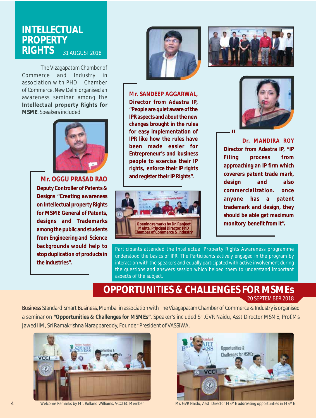#### **INTELLECTUAL PROPERTY RIGHTS** 31 AUGUST 2018

The Vizagapatam Chamber of Commerce and Industry in association with PHD Chamber of Commerce, New Delhi organised an awareness seminar among the **Intellectual property Rights for MSME**. Speakers included



*Mr. OGGU PRASAD RAO* **Deputy Controller of Patents & Designs "Creating awareness on Intellectual property Rights for MSME General of Patents, designs and Trademarks among the public and students from Engineering and Science backgrounds would help to stop duplication of products in the industries".**



*Mr. SANDEEP AGGARWAL,* **Director from Adastra IP, "People are quiet aware of the IPR aspects and about the new changes brought in the rules for easy implementation of IPR like how the rules have been made easier for Entrepreneur's and business people to exercise their IP rights, enforce their IP rights and register their IP Rights".**







*" Dr. MANDIRA ROY Director from Adastra IP,* **"IP Filing process from approaching an IP firm which coverers patent trade mark, design and also commercialization. once anyone has a patent trademark and design, they should be able get maximum monitory benefit from it".**

Participants attended the Intellectual Property Rights Awareness programme understood the basics of IPR. The Participants actively engaged in the program by interaction with the speakers and equally participated with active involvement during the questions and answers session which helped them to understand important aspects of the subject.

#### **OPPORTUNITIES & CHALLENGES FOR MSMEs** 20 SEPTEMBER 2018

Business Standard Smart Business, Mumbai in association with The Vizagapatam Chamber of Commerce & Industry is organised a seminar on **"Opportunities & Challenges for MSMEs"**. Speaker's included Sri.GVR Naidu, Asst Director MSME, Prof.Ms Jawed IIM, Sri Ramakrishna Narappareddy, Founder President of VASSIWA.





Welcome Remarks by Mr. Rolland Williams, VCCI EC Member Mr. GVR Naidu, Asst. Director MSME addressing opportunties in MSME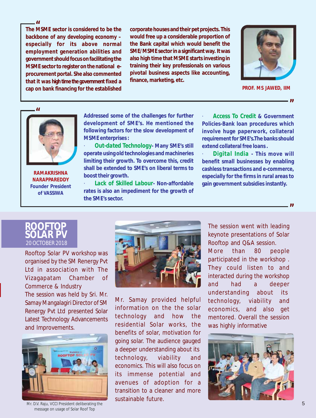*"* **The MSME sector is considered to be the backbone of any developing economy – especially for its above normal employment generation abilities and government should focus on facilitating the MSME sector to register on the national eprocurement portal. She also commented that it was high time the government fixed a cap on bank financing for the established**

**corporate houses and their pet projects. This would free up a considerable proportion of the Bank capital which would benefit the SME/MSME sector in a significant way. It was also high time that MSME starts investing in training their key professionals on various pivotal business aspects like accounting, finance, marketing, etc.**



**PROF. MS JAWED, IIM**

*"*

*"*



**RAMAKRISHNA NARAPPAREDDY Founder President of VASSIWA**

**Addressed some of the challenges for further development of SME's. He mentioned the following factors for the slow development of MSME enterprises :**

· *Out-dated Technology***- Many SME's still operate using old technologies and machineries limiting their growth. To overcome this, credit shall be extended to SME's on liberal terms to boost their growth.**

· *Lack of Skilled Labour***- Non-affordable rates is also an impediment for the growth of the SME's sector.**

· *Access To Credit & Government Policies***-Bank loan procedures which involve huge paperwork, collateral requirement for SME's.The banks should extend collateral free loans .**

· *Digital India* **- This move will benefit small businesses by enabling cashless transactions and e-commerce, especially for the firms in rural areas to gain government subsidies instantly.**



Rooftop Solar PV workshop was organised by the SM Renergy Pvt Ltd in association with The Vizagapatam Chamber of Commerce & Industry The session was held by Sri. Mr. Samay Mangalagiri Director of SM Renergy Pvt Ltd presented Solar

Latest Technology Advancements and Improvements.



Mr. D.V. Raju, VCCI President deliberating the message on usage of Solar Roof Top



Mr. Samay provided helpful information on the the solar technology and how the residential Solar works, the benefits of solar, motivation for going solar. The audience gauged a deeper understanding about its technology, viability and economics. This will also focus on its immense potential and avenues of adoption for a transition to a cleaner and more sustainable future.

The session went with leading keynote presentations of Solar Rooftop and Q&A session. More than 80 people participated in the workshop . They could listen to and interacted during the workshop and had a deeper understanding about its technology, viability and economics, and also get mentored. Overall the session was highly informative

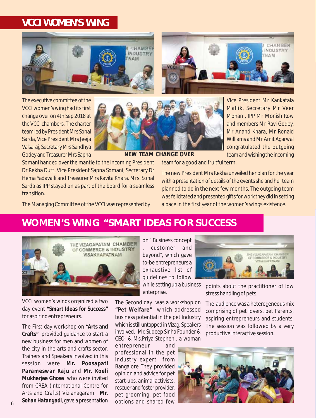#### **VCCI WOMEN'S WING**



The executive committee of the VCCI women's wing had its first change over on 4th Sep 2018 at the VCCI chambers. The charter team led by President Mrs Sonal Sarda, Vice President Mrs Jeeja Valsaraj, Secretary Mrs Sandhya Godey and Treasurer Mrs Sapna



Vice President Mr Kankatala Mallik, Secretary Mr Veer Mohan , IPP Mr Monish Row and members Mr Ravi Godey, Mr Anand Khara, Mr Ronald Williams and Mr Amit Agarwal congratulated the outgoing team and wishing the incoming

CHAMBER

**INDUSTRY** 

**NAM** 

**NEW TEAM CHANGE OVER**

Somani handed over the mantle to the incoming President Dr Rekha Dutt, Vice President Sapna Somani, Secretary Dr Hema Yadavalli and Treasurer Mrs Kavita Khara. Mrs. Sonal Sarda as IPP stayed on as part of the board for a seamless **transition** 

team for a good and fruitful term.

The new President Mrs Rekha unveiled her plan for the year with a presentation of details of the events she and her team planned to do in the next few months. The outgoing team was felicitated and presented gifts for work they did in setting a pace in the first year of the women's wings existence.

The Managing Committee of the VCCI was represented by

#### **WOMEN'S WING "SMART IDEAS FOR SUCCESS**



VCCI women's wings organized a two day event **"Smart Ideas for Success"** for aspiring entrepreneurs.

The First day workshop on **"Arts and Crafts"** provided guidance to start a new business for men and women of the city in the arts and crafts sector. Trainers and Speakers involved in this session were *Mr. Poosapati Parameswar Raju* and *Mr. Koeli Mukherjee Ghose* who were invited from CREA (International Centre for Arts and Crafts) Vizianagaram. *Mr. Sohan Hatangadi*, gave a presentation

on " Business concept , customer and beyond", which gave to-be entrepreneurs a exhaustive list of guidelines to follow while setting up a business enterprise.

The Second day was a workshop on **"Pet Welfare"** which addressed business potential in the pet Industry which is still untapped in Vizag. Speakers involved. Mr. Sudeep Sinha Founder & CEO & Ms.Priya Stephen , a woman

entrepreneur and professional in the pet industry expert from Bangalore They provided opinion and advice for pet start-ups, animal activists, rescuer and foster provider, pet grooming, pet food options and shared few



points about the practitioner of low stress handling of pets.

The audience was a heterogeneous mix comprising of pet lovers, pet Parents, aspiring entrepreneurs and students. The session was followed by a very productive interactive session.

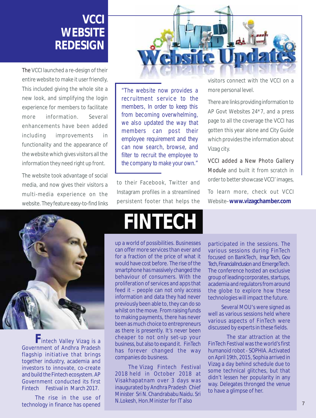## **VCCI WEBSITE REDESIGN**

The VCCI launched a re-design of their entire website to make it user friendly, This included giving the whole site a new look, and simplifying the login experience for members to facilitate more information. Several enhancements have been added including improvements in functionality and the appearance of the website which gives visitors all the information they need right up front.

The website took advantage of social media, and now gives their visitors a multi-media experience on the website. They feature easy-to-find links



"The website now provides a recruitment service to the members, In order to keep this from becoming overwhelming, we also updated the way that members can post their employee requirement and they can now search, browse, and filter to recruit the employee to the company to make your own."

to their Facebook, Twitter and Instagram profiles in a streamlined persistent footer that helps the visitors connect with the VCCI on a more personal level.

There are links providing information to AP Govt Websites 24\*7, and a press page to all the coverage the VCCI has gotten this year alone and City Guide which provides the information about Vizag city.

VCCI added a New Photo Gallery Module and built it from scratch in order to better showcase VCCI' images,

To learn more, check out VCCI Website–**www.vizagchamber.com**



**F**intech Valley Vizag is a Government of Andhra Pradesh flagship initiative that brings together industry, academia and investors to innovate, co-create and build the Fintech ecosystem. AP Government conducted its first Fintech Festival in March 2017.

The rise in the use of technology in finance has opened

# **FINTECH**

up a world of possibilities. Businesses can offer more services than ever and for a fraction of the price of what it would have cost before. The rise of the smartphone has massively changed the behaviour of consumers. With the proliferation of services and apps that feed it – people can not only access information and data they had never previously been able to, they can do so whilst on the move. From raising funds to making payments, there has never been as much choice to entrepreneurs as there is presently. It's never been cheaper to not only set-up your business, but also to expand it. FinTech has forever changed the way companies do business.

The Vizag Fintech Festival 2018 held in October 2018 at Visakhapatnam over 3 days was inaugurated by Andhra Pradesh Chief Minister Sri N. Chandrababu Naidu. Sri N.Lokesh, Hon.Minister for IT also

participated in the sessions. The various sessions during FinTech focused on BankTech, Insur Tech, Gov Tech, FinancialInclusion and EmergeTech. The conference hosted an exclusive group of leading corporates, startups, academia and regulators from around the globe to explore how these technologies will impact the future.

Several MOU's were signed as well as various sessions held where various aspects of FinTech were discussed by experts in these fields.

The star attraction at the FinTech Festival was the world's first humanoid robot - SOPHIA. Activated on April 19th, 2015, Sophia arrived in Vizag a day behind schedule due to some technical glitches, but that didn't lessen her popularity in any way. Delegates thronged the venue to have a glimpse of her.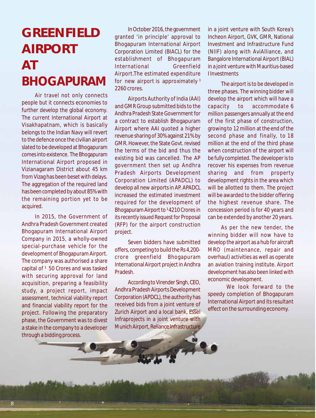# **GREENFIELD AIRPORT AT BHOGAPURAM**

Air travel not only connects people but it connects economies to further develop the global economy. The current International Airport at Visakhapatnam, which is basically belongs to the Indian Navy will revert to the defence once the civilian airport slated to be developed at Bhogapuram comes into existence. The Bhogapuram International Airport proposed in Vizianagaram District about 45 km from Vizag has been beset with delays. The aggregation of the required land has been completed by about 85% with the remaining portion yet to be acquired.

In 2015, the Government of Andhra Pradesh Government created Bhogapuram International Airport Company in 2015, a wholly-owned special-purchase vehicle for the development of Bhogapuram Airport. The company was authorised a share capital of <sup>1</sup> 50 Crores and was tasked with securing approval for land acquisition, preparing a feasibility study, a project report, impact assessment, technical viability report and financial viability report for the project. Following the preparatory phase, the Government was to divest a stake in the company to a developer through a bidding process.

In October 2016, the government granted 'in principle' approval to Bhogapuram International Airport Corporation Limited (BIACL) for the establishment of Bhogapuram International Greenfield Airport.The estimated expenditure for new airport is approximately<sup>1</sup> 2260 crores.

Airports Authority of India (AAI) and GMR Group submitted bids to the Andhra Pradesh State Government for a contract to establish Bhogapuram Airport where AAI quoted a higher revenue sharing of 30% against 21% by GMR. However, the State Govt. revised the terms of the bid and thus the existing bid was cancelled. The AP government then set up Andhra Pradesh Airports Development Corporation Limited (APADCL) to develop all new airports in AP. APADCL increased the estimated investment required for the development of Bhogapuram Airport to <sup>1</sup>4210 Crores in its recently issued Request for Proposal (RFP) for the airport construction project.

Seven bidders have submitted offers, competing to build the Rs 4,200 crore greenfield Bhogapuram International Airport project in Andhra Pradesh.

According to Virender Singh, CEO, Andhra Pradesh Airports Development Corporation (APDCL), the authority has received bids from a joint venture of Zurich Airport and a local bank, Essel Infraprojects in a joint venture with Munich Airport, Reliance Infrastructure in a joint venture with South Korea's Incheon Airport, GVK, GMR, National Investment and Infrastructure Fund (NIIF) along with AviAlliance, and Bangalore International Airport (BIAL) in a joint venture with Mauritius-based I Investments

The airport is to be developed in three phases. The winning bidder will develop the airport which will have a capacity to accommodate 6 million passengers annually at the end of the first phase of construction, growing to 12 million at the end of the second phase and finally, to 18 million at the end of the third phase when construction of the airport will be fully completed. The developer is to recover his expenses from revenue sharing and from property development rights in the area which will be allotted to them. The project will be awarded to the bidder offering the highest revenue share. The concession period is for 40 years and can be extended by another 20 years.

As per the new tender, the winning bidder will now have to develop the airport as a hub for aircraft MRO (maintenance, repair and overhaul) activities as well as operate an aviation training institute. Airport development has also been linked with economic development.

We look forward to the speedy completion of Bhogapuram International Airport and its resultant effect on the surrounding economy.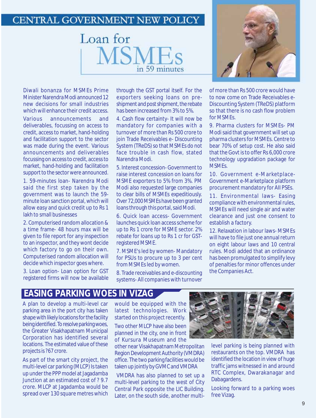#### CENTRAL GOVERNMENT NEW POLICY



Diwali bonanza for MSMEs Prime Minister Narendra Modi announced 12 new decisions for small industries which will enhance their credit access.

Various announcements and deliverables, focussing on access to credit, access to market, hand-holding and facilitation support to the sector was made during the event. Various announcements and deliverables focussing on access to credit, access to market, hand-holding and facilitation support to the sector were announced.

1. 59-minutes loan- Narendra Modi said the first step taken by the government was to launch the 59 minute loan sanction portal, which will allow easy and quick credit up to Rs 1 lakh to small businesses

2. Computerised random allocation & a time frame- 48 hours max will be given to file report for any inspection to an inspector, and they wont decide which factory to go on their own. Computerised random allocation will decide which inspector goes where.

3. Loan option- Loan option for GST registered firms will now be available through the GST portal itself. For the exporters seeking loans on preshipment and post shipment, the rebate has been increased from 3% to 5%.

4. Cash flow certainty- It will now be mandatory for companies with a turnover of more than Rs 500 crore to join Trade Receivables e- Discounting System (TReDS) so that MSMEs do not face trouble in cash flow, stated Narendra Modi.

5. Interest concession- Government to raise interest concession on loans for MSME exporters to 5% from 3%. PM Modi also requested large companies to clear bills of MSMEs expeditiously. Over 72,000 MSMEs have been granted loans through this portal, said Modi.

6. Quick loan access- Government launches quick loan access scheme for up to Rs 1 crore for MSME sector. 2% rebate for loans up to Rs 1 cr for GSTregistered MSME.

7. MSME's led by women- Mandatory for PSUs to procure up to 3 per cent from MSMEs led by women.

8. Trade receivables and e-discounting systems- All companies with turnover



of more than Rs 500 crore would have to now come on Trade Receivables e-Discounting System (TReDS) platform so that there is no cash flow problem for MSMEs.

9. Pharma clusters for MSMEs- PM Modi said that government will set up pharma clusters for MSMEs. Centre to bear 70% of setup cost. He also said that the Govt is to offer Rs 6,000 crore technology upgradation package for **MSMEs** 

10. Government e-Marketplace-Government e-Marketplace platform procurement mandatory for AII PSEs.

11. Environmental laws- Easing compliance with environmental rules, MSMEs will need single air and water clearance and just one consent to establish a factory.

12. Relaxation in labour laws- MSMEs will have to file just one annual return on eight labour laws and 10 central rules. Modi added that an ordinance has been promulgated to simplify levy of penalties for minor offences under the Companies Act.

#### **EASING PARKING WOES IN VIZAG**

A plan to develop a multi-level car parking area in the port city has taken shape with likely locations for the facility being identified. To resolve parking woes, the Greater Visakhapatnam Municipal Corporation has identified several locations. The estimated value of these projects is ?67 crore.

As part of the smart city project, the multi-level car parking (MLCP) Is taken up under the PPP model at Jagadamba Junction at an estimated cost of ? 9.7 crore. MLCP at Jagadamba would be spread over 130 square metres which

would be equipped with the latest technologies. Work started on this project recently.

Two other MLCP have also been planned in the city, one in front of Kursura Museum and the

other near Visakhapatnam Metropolitan Region Development Authority (VMDRA) office. The two parking facilities would be taken up jointly by GVMC and VMDRA

 VMDRA has also planned to set up a multi-level parking to the west of City Central Park opposite the LIC Building. Later, on the south side, another multi-



level parking is being planned with restaurants on the top. VMDRA has identified the location in view of huge traffic jams witnessed in and around RTC Complex, Dwarakanagar and Dabagardens.

Looking forward to a parking woes free Vizag.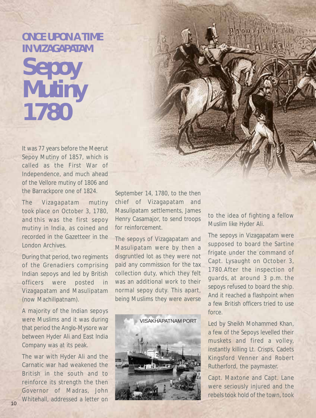# **ONCE UPON A TIME IN VIZAGAPATAM Sepoy Mutiny 1780**

It was 77 years before the Meerut Sepoy Mutiny of 1857, which is called as the First War of Independence, and much ahead of the Vellore mutiny of 1806 and the Barrackpore one of 1824.

The *Vizagapatam mutiny* took place on October 3, 1780, and this was the first sepoy mutiny in India, as coined and recorded in the Gazetteer in the London Archives.

During that period, two regiments of the Grenadiers comprising Indian sepoys and led by British officers were posted in Vizagapatam and Masulipatam (now Machilipatnam).

A majority of the Indian sepoys were Muslims and it was during that period the Anglo-Mysore war between Hyder Ali and East India Company was at its peak.

The war with Hyder Ali and the Carnatic war had weakened the British in the south and to reinforce its strength the then Governor of Madras, John Whitehall, addressed a letter on

September 14, 1780, to the then chief of Vizagapatam and Masulipatam settlements, James Henry Casamajor, to send troops for reinforcement.

The sepoys of Vizagapatam and Masulipatam were by then a disgruntled lot as they were not paid any commission for the tax collection duty, which they felt was an additional work to their normal sepoy duty. This apart, being Muslims they were averse



to the idea of fighting a fellow Muslim like Hyder Ali.

The sepoys in Vizagapatam were supposed to board the Sartine frigate under the command of Capt. Lysaught on October 3, 1780.After the inspection of guards, at around 3 p.m. the sepoys refused to board the ship. And it reached a flashpoint when a few British officers tried to use force.

Led by Sheikh Mohammed Khan, a few of the Sepoys levelled their muskets and fired a volley, instantly killing Lt. Crisps, Cadets Kingsford Venner and Robert Rutherford, the paymaster.

Capt. Maxtone and Capt. Lane were seriously injured and the rebels took hold of the town, took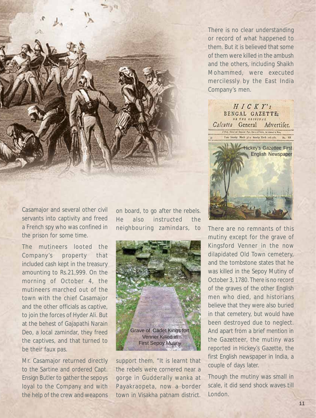

There is no clear understanding or record of what happened to them. But it is believed that some of them were killed in the ambush and the others, including Shaikh Mohammed, were executed mercilessly by the East India Company's men.

 $HICKT's$ BENGAL GAZETTE: Calcutta General Advertifer. A Holy Paint and Descript Pape, Open a di Partin, he informat by Mark, From Loneley Morch 3d to Seturity March 10th 1781. No. VII **Hickey's Gazettee First** English Newspaper

Casamajor and several other civil servants into captivity and freed a French spy who was confined in the prison for some time.

The mutineers looted the Company's property that included cash kept in the treasury amounting to Rs.21,999. On the morning of October 4, the mutineers marched out of the town with the chief Casamajor and the other officials as captive, to join the forces of Hyder Ali. But at the behest of Gajapathi Narain Deo, a local zamindar, they freed the captives, and that turned to be their faux pas.

Mr. Casamajor returned directly to the Sartine and ordered Capt. Ensign Butler to gather the sepoys loyal to the Company and with the help of the crew and weapons

on board, to go after the rebels. He also instructed the neighbouring zamindars, to There are no remnants of this



support them. "It is learnt that the rebels were cornered near a gorge in Gudderally wanka at Payakraopeta, now a border town in Visakha patnam district.

mutiny except for the grave of Kingsford Venner in the now dilapidated Old Town cemetery, and the tombstone states that he was killed in the Sepoy Mutiny of October 3, 1780. There is no record of the graves of the other English men who died, and historians believe that they were also buried in that cemetery, but would have been destroyed due to neglect. And apart from a brief mention in the Gazetteer, the mutiny was reported in Hickey's Gazette, the first English newspaper in India, a couple of days later.

Though the mutiny was small in scale, it did send shock waves till London.